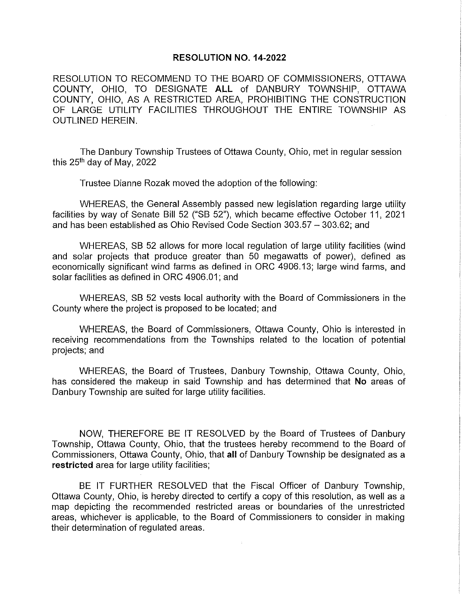## **RESOLUTION NO. 14-2022**

RESOLUTION **TO** RECOMMEND TO THE BOARD OF COMMISSIONERS, OTTAWA COUNTY, OHIO, TO DESIGNATE **ALL** of DANBURY TOWNSHIP, OTTAWA COUNTY, OHIO, AS A RESTRICTED AREA, PROHIBITING THE CONSTRUCTION OF LARGE UTILITY FACILITIES THROUGHOUT THE ENTIRE TOWNSHIP AS OUTLINED HEREIN.

The Danbury Township Trustees of Ottawa County, Ohio, met in regular session this 25th day of May, 2022

Trustee Dianne Rozak moved the adoption of the following:

WHEREAS, the General Assembly passed new legislation regarding large utility facilities by way of Senate Bill 52 ("SB 52"), which became effective October 11, 2021 and has been established as Ohio Revised Code Section 303.57 - 303.62; and

WHEREAS, SB 52 allows for more local regulation of large utility facilities (wind and solar projects that produce greater than 50 megawatts of power), defined as economically significant wind farms as defined in ORC 4906.13; large wind farms, and solar facilities as defined in ORC 4906.01; and

WHEREAS, SB 52 vests local authority with the Board of Commissioners in the County where the project is proposed to be located; and

WHEREAS, the Board of Commissioners, Ottawa County, Ohio is interested in receiving recommendations from the Townships related to the location of potential projects; and

WHEREAS, the Board of Trustees, Danbury Township, Ottawa County, Ohio, has considered the makeup in said Township and has determined that **No** areas of Danbury Township are suited for large utility facilities.

NOW, THEREFORE BE IT RESOLVED by the Board of Trustees of Danbury Township, Ottawa County, Ohio, that the trustees hereby recommend to the Board of Commissioners, Ottawa County, Ohio, that **all** of Danbury Township be designated as a **restricted** area for large utility facilities;

BE IT FURTHER RESOLVED that the Fiscal Officer of Danbury Township, Ottawa County, Ohio, is hereby directed to certify a copy of this resolution, as well as a map depicting the recommended restricted areas or boundaries of the unrestricted areas, whichever is applicable, to the Board of Commissioners to consider in making their determination of regulated areas.